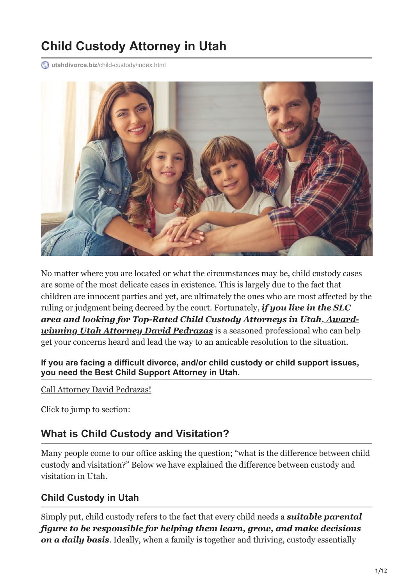# **Child Custody Attorney in Utah**

**utahdivorce.biz**[/child-custody/index.html](https://utahdivorce.biz/child-custody/index.html)



No matter where you are located or what the circumstances may be, child custody cases are some of the most delicate cases in existence. This is largely due to the fact that children are innocent parties and yet, are ultimately the ones who are most affected by the ruling or judgment being decreed by the court. Fortunately, *if you live in the SLC [area and looking for Top-Rated Child Custody Attorneys in Utah, Award](https://utahdivorce.biz/)winning Utah Attorney David Pedrazas* is a seasoned professional who can help get your concerns heard and lead the way to an amicable resolution to the situation.

**If you are facing a difficult divorce, and/or child custody or child support issues, you need the Best Child Support Attorney in Utah.**

[Call Attorney David Pedrazas!](tel:+18012637078)

Click to jump to section:

# **What is Child Custody and Visitation?**

Many people come to our office asking the question; "what is the difference between child custody and visitation?" Below we have explained the difference between custody and visitation in Utah.

#### **Child Custody in Utah**

Simply put, child custody refers to the fact that every child needs a *suitable parental figure to be responsible for helping them learn, grow, and make decisions on a daily basis*. Ideally, when a family is together and thriving, custody essentially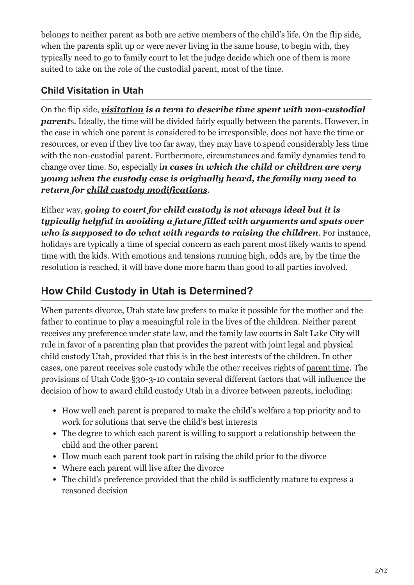belongs to neither parent as both are active members of the child's life. On the flip side, when the parents split up or were never living in the same house, to begin with, they typically need to go to family court to let the judge decide which one of them is more suited to take on the role of the custodial parent, most of the time.

## **Child Visitation in Utah**

On the flip side, *[visitation](https://utahdivorce.biz/Child-Custody/Parent-Time-Visitation.shtml) is a term to describe time spent with non-custodial parent*s. Ideally, the time will be divided fairly equally between the parents. However, in the case in which one parent is considered to be irresponsible, does not have the time or resources, or even if they live too far away, they may have to spend considerably less time with the non-custodial parent. Furthermore, circumstances and family dynamics tend to change over time. So, especially i*n cases in which the child or children are very young when the custody case is originally heard, the family may need to return for [child custody modifications](https://utahdivorce.biz/Child-Custody/Modifying-Child-Custody.shtml)*.

Either way, *going to court for child custody is not always ideal but it is typically helpful in avoiding a future filled with arguments and spats over who is supposed to do what with regards to raising the children*. For instance, holidays are typically a time of special concern as each parent most likely wants to spend time with the kids. With emotions and tensions running high, odds are, by the time the resolution is reached, it will have done more harm than good to all parties involved.

# **How Child Custody in Utah is Determined?**

When parents [divorce,](https://utahdivorce.biz/divorce-attorney-utah/) Utah state law prefers to make it possible for the mother and the father to continue to play a meaningful role in the lives of the children. Neither parent receives any preference under state law, and the [family law](https://utahdivorce.biz/Family-Law/index.html) courts in Salt Lake City will rule in favor of a parenting plan that provides the parent with joint legal and physical child custody Utah, provided that this is in the best interests of the children. In other cases, one parent receives sole custody while the other receives rights of [parent time.](https://utahdivorce.biz/Child-Custody/Parent-Time-Visitation.shtml) The provisions of Utah Code §30-3-10 contain several different factors that will influence the decision of how to award child custody Utah in a divorce between parents, including:

- How well each parent is prepared to make the child's welfare a top priority and to work for solutions that serve the child's best interests
- The degree to which each parent is willing to support a relationship between the child and the other parent
- How much each parent took part in raising the child prior to the divorce
- Where each parent will live after the divorce
- The child's preference provided that the child is sufficiently mature to express a reasoned decision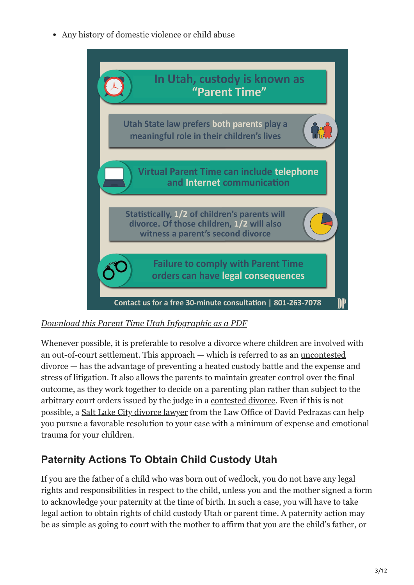Any history of domestic violence or child abuse



#### *[Download this Parent Time Utah Infographic as a PDF](https://utahdivorce.biz/wp-content/uploads/2014/04/Parent-Time-Utah-Infographic.pdf)*

Whenever possible, it is preferable to resolve a divorce where children are involved with [an out-of-court settlement. This approach — which is referred to as an uncontested](https://utahdivorce.biz/Divorce/Uncontested-Divorce.shtml) divorce — has the advantage of preventing a heated custody battle and the expense and stress of litigation. It also allows the parents to maintain greater control over the final outcome, as they work together to decide on a parenting plan rather than subject to the arbitrary court orders issued by the judge in a [contested divorce](https://utahdivorce.biz/Divorce/Contested-Divorce.shtml). Even if this is not possible, a [Salt Lake City divorce lawyer](https://utahdivorce.biz/divorce-attorney-utah) from the Law Office of David Pedrazas can help you pursue a favorable resolution to your case with a minimum of expense and emotional trauma for your children.

# **Paternity Actions To Obtain Child Custody Utah**

If you are the father of a child who was born out of wedlock, you do not have any legal rights and responsibilities in respect to the child, unless you and the mother signed a form to acknowledge your paternity at the time of birth. In such a case, you will have to take legal action to obtain rights of child custody Utah or parent time. A [paternity](https://utahdivorce.biz/Child-Custody/Paternity.shtml) action may be as simple as going to court with the mother to affirm that you are the child's father, or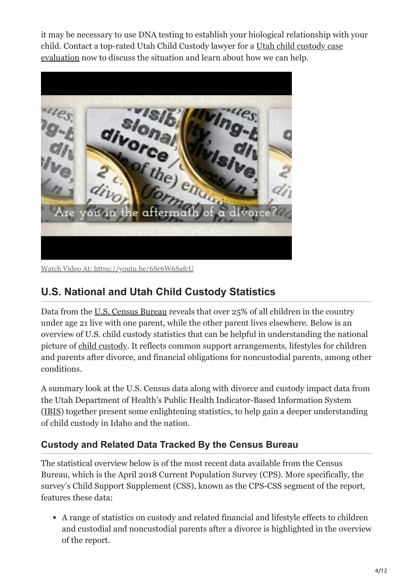it may be necessary to use DNA testing to establish your biological relationship with your [child. Contact a top-rated Utah Child Custody lawyer for a Utah child custody case](https://utahdivorce.biz/Free-Case-Evaluation.shtml) evaluation now to discuss the situation and learn about how we can help.



Watch Video At: <https://youtu.be/6Sr6W6SafcU>

# **U.S. National and Utah Child Custody Statistics**

Data from the <u>[U.S. Census Bureau](https://www.census.gov/content/dam/Census/library/publications/2020/demo/p60-269.pdf)</u> reveals that over 25% of all children in the country under age 21 live with one parent, while the other parent lives elsewhere. Below is an overview of U.S. child custody statistics that can be helpful in understanding the national picture of [child custody.](https://utahdivorce.biz/Child-Custody/index.html) It reflects common support arrangements, lifestyles for children and parents after divorce, and financial obligations for noncustodial parents, among other conditions.

A summary look at the U.S. Census data along with divorce and custody impact data from the Utah Department of Health's Public Health Indicator-Based Information System ([IBIS\)](https://ibis.health.utah.gov/ibisph-view/indicator/view/HHStruct.Cnty.html) together present some enlightening statistics, to help gain a deeper understanding of child custody in Idaho and the nation.

# **Custody and Related Data Tracked By the Census Bureau**

The statistical overview below is of the most recent data available from the Census Bureau, which is the April 2018 Current Population Survey (CPS). More specifically, the survey's Child Support Supplement (CSS), known as the CPS-CSS segment of the report, features these data:

A range of statistics on custody and related financial and lifestyle effects to children and custodial and noncustodial parents after a divorce is highlighted in the overview of the report.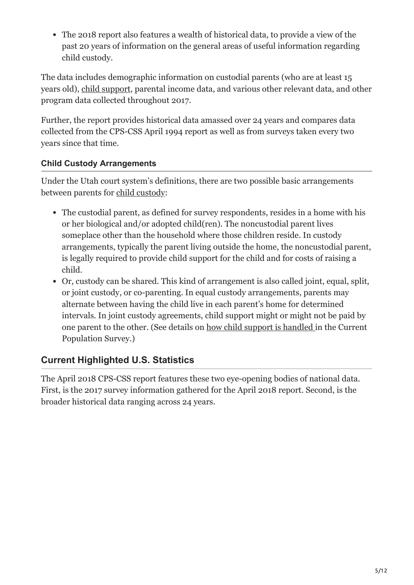The 2018 report also features a wealth of historical data, to provide a view of the past 20 years of information on the general areas of useful information regarding child custody.

The data includes demographic information on custodial parents (who are at least 15 years old), [child support,](https://utahdivorce.biz/Child-Support/index.html) parental income data, and various other relevant data, and other program data collected throughout 2017.

Further, the report provides historical data amassed over 24 years and compares data collected from the CPS-CSS April 1994 report as well as from surveys taken every two years since that time.

#### **Child Custody Arrangements**

Under the Utah court system's definitions, there are two possible basic arrangements between parents for [child custody](https://www.utcourts.gov/howto/divorce/custody.html):

- The custodial parent, as defined for survey respondents, resides in a home with his or her biological and/or adopted child(ren). The noncustodial parent lives someplace other than the household where those children reside. In custody arrangements, typically the parent living outside the home, the noncustodial parent, is legally required to provide child support for the child and for costs of raising a child.
- Or, custody can be shared. This kind of arrangement is also called joint, equal, split, or joint custody, or co-parenting. In equal custody arrangements, parents may alternate between having the child live in each parent's home for determined intervals. In joint custody agreements, child support might or might not be paid by one parent to the other. (See details on [how child support is handled](http://www.census.gov/content/dam/Census/library/working-papers/2011/demo/spm-cps-sipp-cs-paid-comparison.pdf) in the Current Population Survey.)

# **Current Highlighted U.S. Statistics**

The April 2018 CPS-CSS report features these two eye-opening bodies of national data. First, is the 2017 survey information gathered for the April 2018 report. Second, is the broader historical data ranging across 24 years.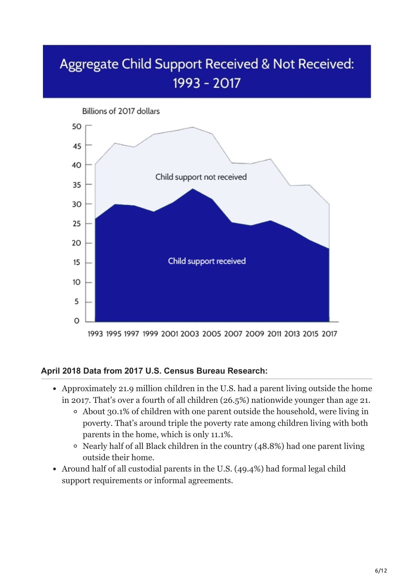# Aggregate Child Support Received & Not Received: 1993 - 2017



#### **April 2018 Data from 2017 U.S. Census Bureau Research:**

- Approximately 21.9 million children in the U.S. had a parent living outside the home in 2017. That's over a fourth of all children (26.5%) nationwide younger than age 21.
	- About 30.1% of children with one parent outside the household, were living in poverty. That's around triple the poverty rate among children living with both parents in the home, which is only 11.1%.
	- Nearly half of all Black children in the country (48.8%) had one parent living outside their home.
- Around half of all custodial parents in the U.S. (49.4%) had formal legal child support requirements or informal agreements.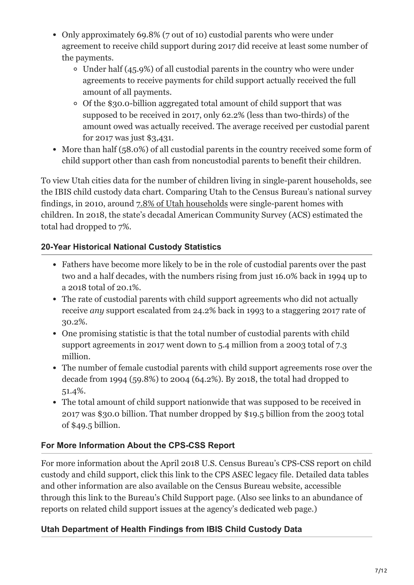- Only approximately 69.8% (7 out of 10) custodial parents who were under agreement to receive child support during 2017 did receive at least some number of the payments.
	- $\circ$  Under half (45.9%) of all custodial parents in the country who were under agreements to receive payments for child support actually received the full amount of all payments.
	- Of the \$30.0-billion aggregated total amount of child support that was supposed to be received in 2017, only 62.2% (less than two-thirds) of the amount owed was actually received. The average received per custodial parent for 2017 was just \$3,431.
- More than half (58.0%) of all custodial parents in the country received some form of child support other than cash from noncustodial parents to benefit their children.

To view Utah cities data for the number of children living in single-parent households, see the IBIS child custody data chart. Comparing Utah to the Census Bureau's national survey findings, in 2010, around [7.8% of Utah households](https://ibis.health.utah.gov/ibisph-view/indicator/important_facts/HHStruct.html) were single-parent homes with children. In 2018, the state's decadal American Community Survey (ACS) estimated the total had dropped to 7%.

#### **20-Year Historical National Custody Statistics**

- Fathers have become more likely to be in the role of custodial parents over the past two and a half decades, with the numbers rising from just 16.0% back in 1994 up to a 2018 total of 20.1%.
- The rate of custodial parents with child support agreements who did not actually receive *any* support escalated from 24.2% back in 1993 to a staggering 2017 rate of 30.2%.
- One promising statistic is that the total number of custodial parents with child support agreements in 2017 went down to 5.4 million from a 2003 total of 7.3 million.
- The number of female custodial parents with child support agreements rose over the decade from 1994 (59.8%) to 2004 (64.2%). By 2018, the total had dropped to 51.4%.
- The total amount of child support nationwide that was supposed to be received in 2017 was \$30.0 billion. That number dropped by \$19.5 billion from the 2003 total of \$49.5 billion.

#### **For More Information About the CPS-CSS Report**

For more information about the April 2018 U.S. Census Bureau's CPS-CSS report on child custody and child support, click this link to the CPS ASEC legacy file. Detailed data tables and other information are also available on the Census Bureau website, accessible through this link to the Bureau's Child Support page. (Also see links to an abundance of reports on related child support issues at the agency's dedicated web page.)

#### **Utah Department of Health Findings from IBIS Child Custody Data**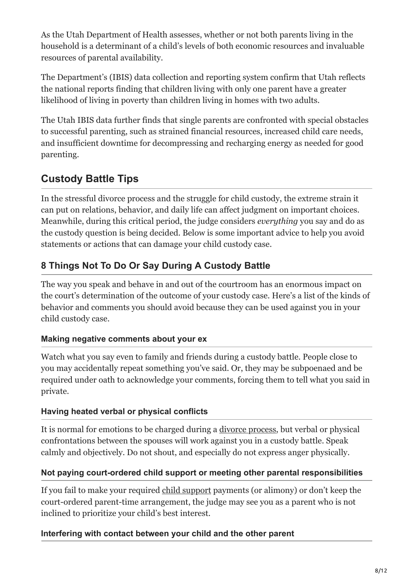As the Utah Department of Health assesses, whether or not both parents living in the household is a determinant of a child's levels of both economic resources and invaluable resources of parental availability.

The Department's (IBIS) data collection and reporting system confirm that Utah reflects the national reports finding that children living with only one parent have a greater likelihood of living in poverty than children living in homes with two adults.

The Utah IBIS data further finds that single parents are confronted with special obstacles to successful parenting, such as strained financial resources, increased child care needs, and insufficient downtime for decompressing and recharging energy as needed for good parenting.

# **Custody Battle Tips**

In the stressful divorce process and the struggle for child custody, the extreme strain it can put on relations, behavior, and daily life can affect judgment on important choices. Meanwhile, during this critical period, the judge considers *everything* you say and do as the custody question is being decided. Below is some important advice to help you avoid statements or actions that can damage your child custody case.

# **8 Things Not To Do Or Say During A Custody Battle**

The way you speak and behave in and out of the courtroom has an enormous impact on the court's determination of the outcome of your custody case. Here's a list of the kinds of behavior and comments you should avoid because they can be used against you in your child custody case.

#### **Making negative comments about your ex**

Watch what you say even to family and friends during a custody battle. People close to you may accidentally repeat something you've said. Or, they may be subpoenaed and be required under oath to acknowledge your comments, forcing them to tell what you said in private.

#### **Having heated verbal or physical conflicts**

It is normal for emotions to be charged during a [divorce process](https://utahdivorce.biz/divorce-attorney-utah/), but verbal or physical confrontations between the spouses will work against you in a custody battle. Speak calmly and objectively. Do not shout, and especially do not express anger physically.

#### **Not paying court-ordered child support or meeting other parental responsibilities**

If you fail to make your required [child support](https://utahdivorce.biz/Child-Support/index.html) payments (or alimony) or don't keep the court-ordered parent-time arrangement, the judge may see you as a parent who is not inclined to prioritize your child's best interest.

#### **Interfering with contact between your child and the other parent**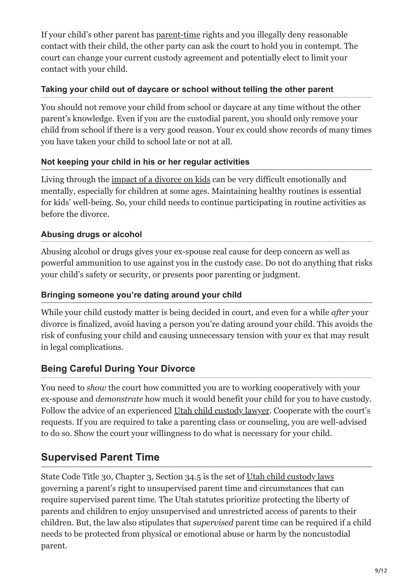If your child's other parent has [parent-time](https://utahdivorce.biz/making-sense-utah-parenttime-laws/) rights and you illegally deny reasonable contact with their child, the other party can ask the court to hold you in contempt. The court can change your current custody agreement and potentially elect to limit your contact with your child.

#### **Taking your child out of daycare or school without telling the other parent**

You should not remove your child from school or daycare at any time without the other parent's knowledge. Even if you are the custodial parent, you should only remove your child from school if there is a very good reason. Your ex could show records of many times you have taken your child to school late or not at all.

#### **Not keeping your child in his or her regular activities**

Living through the [impact of a divorce on kids](https://utahdivorce.biz/giving-the-kids-the-bad-news-about-a-divorce/) can be very difficult emotionally and mentally, especially for children at some ages. Maintaining healthy routines is essential for kids' well-being. So, your child needs to continue participating in routine activities as before the divorce.

#### **Abusing drugs or alcohol**

Abusing alcohol or drugs gives your ex-spouse real cause for deep concern as well as powerful ammunition to use against you in the custody case. Do not do anything that risks your child's safety or security, or presents poor parenting or judgment.

#### **Bringing someone you're dating around your child**

While your child custody matter is being decided in court, and even for a while *after* your divorce is finalized, avoid having a person you're dating around your child. This avoids the risk of confusing your child and causing unnecessary tension with your ex that may result in legal complications.

# **Being Careful During Your Divorce**

You need to *show* the court how committed you are to working cooperatively with your ex-spouse and *demonstrate* how much it would benefit your child for you to have custody. Follow the advice of an experienced [Utah child custody lawyer.](https://utahdivorce.biz/Why-Choose-David-Pedrazas.shtml) Cooperate with the court's requests. If you are required to take a parenting class or counseling, you are well-advised to do so. Show the court your willingness to do what is necessary for your child.

# **Supervised Parent Time**

State Code Title 30, Chapter 3, Section 34.5 is the set of [Utah child custody laws](https://le.utah.gov/xcode/Title30/Chapter3/30-3-S34.5.html?v=C30-3-S34.5_2014040320140513) governing a parent's right to unsupervised parent time and circumstances that can require supervised parent time. The Utah statutes prioritize protecting the liberty of parents and children to enjoy unsupervised and unrestricted access of parents to their children. But, the law also stipulates that *supervised* parent time can be required if a child needs to be protected from physical or emotional abuse or harm by the noncustodial parent.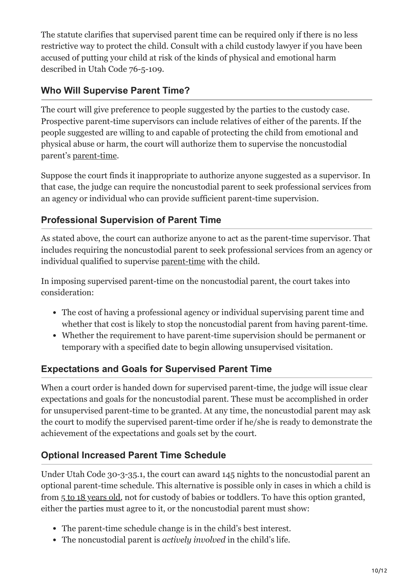The statute clarifies that supervised parent time can be required only if there is no less restrictive way to protect the child. Consult with a child custody lawyer if you have been accused of putting your child at risk of the kinds of physical and emotional harm described in Utah Code 76-5-109.

## **Who Will Supervise Parent Time?**

The court will give preference to people suggested by the parties to the custody case. Prospective parent-time supervisors can include relatives of either of the parents. If the people suggested are willing to and capable of protecting the child from emotional and physical abuse or harm, the court will authorize them to supervise the noncustodial parent's [parent-time](https://utahdivorce.biz/making-sense-utah-parenttime-laws/).

Suppose the court finds it inappropriate to authorize anyone suggested as a supervisor. In that case, the judge can require the noncustodial parent to seek professional services from an agency or individual who can provide sufficient parent-time supervision.

## **Professional Supervision of Parent Time**

As stated above, the court can authorize anyone to act as the parent-time supervisor. That includes requiring the noncustodial parent to seek professional services from an agency or individual qualified to supervise [parent-time](https://utahdivorce.biz/tips-preparing-child-custody-mediation/) with the child.

In imposing supervised parent-time on the noncustodial parent, the court takes into consideration:

- The cost of having a professional agency or individual supervising parent time and whether that cost is likely to stop the noncustodial parent from having parent-time.
- Whether the requirement to have parent-time supervision should be permanent or temporary with a specified date to begin allowing unsupervised visitation.

#### **Expectations and Goals for Supervised Parent Time**

When a court order is handed down for supervised parent-time, the judge will issue clear expectations and goals for the noncustodial parent. These must be accomplished in order for unsupervised parent-time to be granted. At any time, the noncustodial parent may ask the court to modify the supervised parent-time order if he/she is ready to demonstrate the achievement of the expectations and goals set by the court.

#### **Optional Increased Parent Time Schedule**

Under Utah Code 30-3-35.1, the court can award 145 nights to the noncustodial parent an optional parent-time schedule. This alternative is possible only in cases in which a child is from [5 to 18 years old](https://le.utah.gov/xcode/Title30/Chapter3/30-3-S35.html?v=C30-3-S35_1800010118000101), not for custody of babies or toddlers. To have this option granted, either the parties must agree to it, or the noncustodial parent must show:

- The parent-time schedule change is in the child's best interest.
- The noncustodial parent is *actively involved* in the child's life.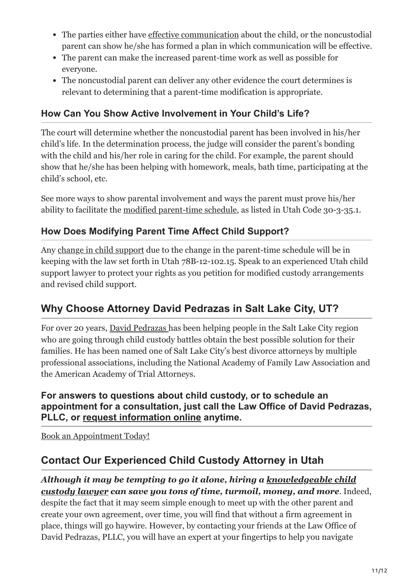- The parties either have [effective communication](https://utahdivorce.biz/6-Tips-for-Communicating-with-Your-Ex-Regarding-Child-Custody) about the child, or the noncustodial parent can show he/she has formed a plan in which communication will be effective.
- The parent can make the increased parent-time work as well as possible for everyone.
- The noncustodial parent can deliver any other evidence the court determines is relevant to determining that a parent-time modification is appropriate.

#### **How Can You Show Active Involvement in Your Child's Life?**

The court will determine whether the noncustodial parent has been involved in his/her child's life. In the determination process, the judge will consider the parent's bonding with the child and his/her role in caring for the child. For example, the parent should show that he/she has been helping with homework, meals, bath time, participating at the child's school, etc.

See more ways to show parental involvement and ways the parent must prove his/her ability to facilitate the [modified parent-time schedule,](https://utahdivorce.biz/family-law/index.html) as listed in Utah Code 30-3-35.1.

## **How Does Modifying Parent Time Affect Child Support?**

Any [change in child support](https://utahdivorce.biz/Child-Support/index.html) due to the change in the parent-time schedule will be in keeping with the law set forth in Utah 78B-12-102.15. Speak to an experienced Utah child support lawyer to protect your rights as you petition for modified custody arrangements and revised child support.

# **Why Choose Attorney David Pedrazas in Salt Lake City, UT?**

For over 20 years, [David Pedrazas](https://utahdivorce.biz/Attorney-Profile/David-Pedrazas.shtml) has been helping people in the Salt Lake City region who are going through child custody battles obtain the best possible solution for their families. He has been named one of Salt Lake City's best divorce attorneys by multiple professional associations, including the National Academy of Family Law Association and the American Academy of Trial Attorneys.

#### **For answers to questions about child custody, or to schedule an appointment for a consultation, just call the Law Office of David Pedrazas, PLLC, or [request information online](https://utahdivorce.biz/Contact.shtml) anytime.**

[Book an Appointment Today!](tel:+18012637078)

# **Contact Our Experienced Child Custody Attorney in Utah**

#### *[Although it may be tempting to go it alone, hiring a knowledgeable child](https://utahdivorce.biz/Child-Custody/index.html) custody lawyer can save you tons of time, turmoil, money, and more*. Indeed,

despite the fact that it may seem simple enough to meet up with the other parent and create your own agreement, over time, you will find that without a firm agreement in place, things will go haywire. However, by contacting your friends at the Law Office of David Pedrazas, PLLC, you will have an expert at your fingertips to help you navigate